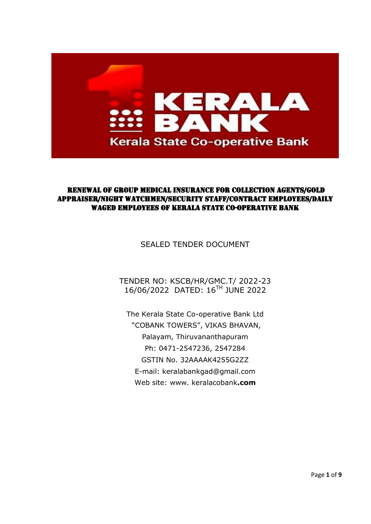

## RENEWAL OF GROUP MEDICAL INSURANCE FOR COLLECTION AGENTS/GOLD APPRAISER/NIGHT WATCHMEN/SECURITY STAFF/CONTRACT EMPLOYEES/DAILY WAGED EMPLOYEES OF KERALA STATE CO-OPERATIVE BANK

SEALED TENDER DOCUMENT

TENDER NO: KSCB/HR/GMC.T/ 2022-23 16/06/2022 DATED: 16 TH JUNE 2022

The Kerala State Co-operative Bank Ltd "COBANK TOWERS", VIKAS BHAVAN, Palayam, Thiruvananthapuram Ph: 0471-2547236, 2547284 GSTIN No. 32AAAAK4255G2ZZ E-mail: keralabankgad@gmail.com Web site: www. keralacobank**.com**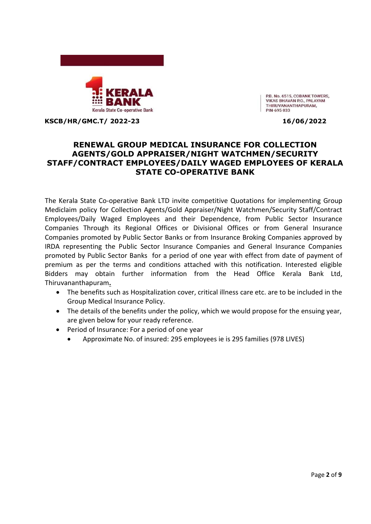

P.B. No. 6515, COBANK TOWERS, **VIKAS BHAVAN P.O., PALAYAM** THIRUVANANTHAPURAM, PIN-695 033

**KSCB/HR/GMC.T/ 2022-23 16/06/2022**

# **RENEWAL GROUP MEDICAL INSURANCE FOR COLLECTION AGENTS/GOLD APPRAISER/NIGHT WATCHMEN/SECURITY STAFF/CONTRACT EMPLOYEES/DAILY WAGED EMPLOYEES OF KERALA STATE CO-OPERATIVE BANK**

The Kerala State Co-operative Bank LTD invite competitive Quotations for implementing Group Mediclaim policy for Collection Agents/Gold Appraiser/Night Watchmen/Security Staff/Contract Employees/Daily Waged Employees and their Dependence, from Public Sector Insurance Companies Through its Regional Offices or Divisional Offices or from General Insurance Companies promoted by Public Sector Banks or from Insurance Broking Companies approved by IRDA representing the Public Sector Insurance Companies and General Insurance Companies promoted by Public Sector Banks for a period of one year with effect from date of payment of premium as per the terms and conditions attached with this notification. Interested eligible Bidders may obtain further information from the Head Office Kerala Bank Ltd, Thiruvananthapuram**.**

- The benefits such as Hospitalization cover, critical illness care etc. are to be included in the Group Medical Insurance Policy.
- The details of the benefits under the policy, which we would propose for the ensuing year, are given below for your ready reference.
- Period of Insurance: For a period of one year
	- Approximate No. of insured: 295 employees ie is 295 families (978 LIVES)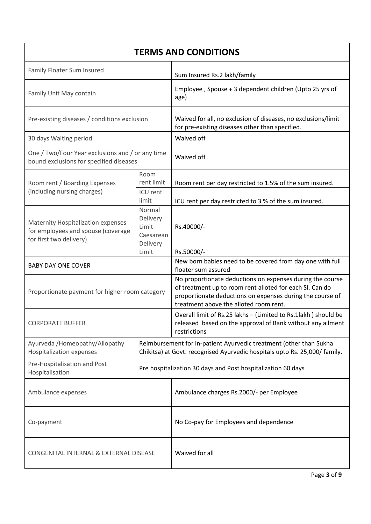| <b>TERMS AND CONDITIONS</b>                                                                         |                                                                                                                                                  |                                                                                                                                                                                                                              |  |  |
|-----------------------------------------------------------------------------------------------------|--------------------------------------------------------------------------------------------------------------------------------------------------|------------------------------------------------------------------------------------------------------------------------------------------------------------------------------------------------------------------------------|--|--|
| Family Floater Sum Insured                                                                          |                                                                                                                                                  | Sum Insured Rs.2 lakh/family                                                                                                                                                                                                 |  |  |
| Family Unit May contain                                                                             |                                                                                                                                                  | Employee, Spouse + 3 dependent children (Upto 25 yrs of<br>age)                                                                                                                                                              |  |  |
| Pre-existing diseases / conditions exclusion                                                        |                                                                                                                                                  | Waived for all, no exclusion of diseases, no exclusions/limit<br>for pre-existing diseases other than specified.                                                                                                             |  |  |
| 30 days Waiting period                                                                              |                                                                                                                                                  | Waived off                                                                                                                                                                                                                   |  |  |
| One / Two/Four Year exclusions and / or any time<br>bound exclusions for specified diseases         |                                                                                                                                                  | Waived off                                                                                                                                                                                                                   |  |  |
| Room rent / Boarding Expenses                                                                       | Room<br>rent limit                                                                                                                               | Room rent per day restricted to 1.5% of the sum insured.                                                                                                                                                                     |  |  |
| (including nursing charges)                                                                         | ICU rent<br>limit                                                                                                                                | ICU rent per day restricted to 3 % of the sum insured.                                                                                                                                                                       |  |  |
| Maternity Hospitalization expenses<br>for employees and spouse (coverage<br>for first two delivery) | Normal<br>Delivery<br>Limit                                                                                                                      | Rs.40000/-                                                                                                                                                                                                                   |  |  |
|                                                                                                     | Caesarean<br>Delivery<br>Limit                                                                                                                   | Rs.50000/-                                                                                                                                                                                                                   |  |  |
| <b>BABY DAY ONE COVER</b>                                                                           |                                                                                                                                                  | New born babies need to be covered from day one with full<br>floater sum assured                                                                                                                                             |  |  |
| Proportionate payment for higher room category                                                      |                                                                                                                                                  | No proportionate deductions on expenses during the course<br>of treatment up to room rent alloted for each SI. Can do<br>proportionate deductions on expenses during the course of<br>treatment above the alloted room rent. |  |  |
| <b>CORPORATE BUFFER</b>                                                                             |                                                                                                                                                  | Overall limit of Rs.25 lakhs - (Limited to Rs.1lakh) should be<br>released based on the approval of Bank without any ailment<br>restrictions                                                                                 |  |  |
| Ayurveda /Homeopathy/Allopathy<br><b>Hospitalization expenses</b>                                   | Reimbursement for in-patient Ayurvedic treatment (other than Sukha<br>Chikitsa) at Govt. recognised Ayurvedic hospitals upto Rs. 25,000/ family. |                                                                                                                                                                                                                              |  |  |
| Pre-Hospitalisation and Post<br>Hospitalisation                                                     | Pre hospitalization 30 days and Post hospitalization 60 days                                                                                     |                                                                                                                                                                                                                              |  |  |
| Ambulance expenses                                                                                  |                                                                                                                                                  | Ambulance charges Rs.2000/- per Employee                                                                                                                                                                                     |  |  |
| Co-payment                                                                                          |                                                                                                                                                  | No Co-pay for Employees and dependence                                                                                                                                                                                       |  |  |
| CONGENITAL INTERNAL & EXTERNAL DISEASE                                                              |                                                                                                                                                  | Waived for all                                                                                                                                                                                                               |  |  |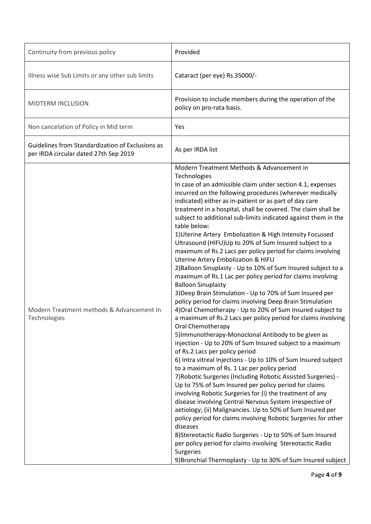| Continuity from previous policy                                                           | Provided                                                                                                                                                                                                                                                                                                                                                                                                                                                                                                                                                                                                                                                                                                                                                                                                                                                                                                                                                                                                                                                                                                                                                                                                                                                                                                                                                                                                                                                                                                                                                                                                                                                                                                                                                                                                                                                                                                                                                     |
|-------------------------------------------------------------------------------------------|--------------------------------------------------------------------------------------------------------------------------------------------------------------------------------------------------------------------------------------------------------------------------------------------------------------------------------------------------------------------------------------------------------------------------------------------------------------------------------------------------------------------------------------------------------------------------------------------------------------------------------------------------------------------------------------------------------------------------------------------------------------------------------------------------------------------------------------------------------------------------------------------------------------------------------------------------------------------------------------------------------------------------------------------------------------------------------------------------------------------------------------------------------------------------------------------------------------------------------------------------------------------------------------------------------------------------------------------------------------------------------------------------------------------------------------------------------------------------------------------------------------------------------------------------------------------------------------------------------------------------------------------------------------------------------------------------------------------------------------------------------------------------------------------------------------------------------------------------------------------------------------------------------------------------------------------------------------|
| Illness wise Sub Limits or any other sub limits                                           | Cataract (per eye) Rs.35000/-                                                                                                                                                                                                                                                                                                                                                                                                                                                                                                                                                                                                                                                                                                                                                                                                                                                                                                                                                                                                                                                                                                                                                                                                                                                                                                                                                                                                                                                                                                                                                                                                                                                                                                                                                                                                                                                                                                                                |
| MIDTERM INCLUSION                                                                         | Provision to include members during the operation of the<br>policy on pro-rata basis.                                                                                                                                                                                                                                                                                                                                                                                                                                                                                                                                                                                                                                                                                                                                                                                                                                                                                                                                                                                                                                                                                                                                                                                                                                                                                                                                                                                                                                                                                                                                                                                                                                                                                                                                                                                                                                                                        |
| Non cancelation of Policy in Mid term                                                     | Yes                                                                                                                                                                                                                                                                                                                                                                                                                                                                                                                                                                                                                                                                                                                                                                                                                                                                                                                                                                                                                                                                                                                                                                                                                                                                                                                                                                                                                                                                                                                                                                                                                                                                                                                                                                                                                                                                                                                                                          |
| Guidelines from Standardization of Exclusions as<br>per IRDA circular dated 27th Sep 2019 | As per IRDA list                                                                                                                                                                                                                                                                                                                                                                                                                                                                                                                                                                                                                                                                                                                                                                                                                                                                                                                                                                                                                                                                                                                                                                                                                                                                                                                                                                                                                                                                                                                                                                                                                                                                                                                                                                                                                                                                                                                                             |
| Modern Treatment methods & Advancement In<br>Technologies                                 | Modern Treatment Methods & Advancement in<br>Technologies<br>In case of an admissible claim under section 4.1, expenses<br>incurred on the following procedures (wherever medically<br>indicated) either as in-patient or as part of day care<br>treatment in a hospital, shall be covered. The claim shall be<br>subject to additional sub-limits indicated against them in the<br>table below:<br>1) Uterine Artery Embolization & High Intensity Focussed<br>Ultrasound (HIFU)Up to 20% of Sum Insured subject to a<br>maximum of Rs.2 Lacs per policy period for claims involving<br><b>Uterine Artery Embolization &amp; HIFU</b><br>2) Balloon Sinuplasty - Up to 10% of Sum Insured subject to a<br>maximum of Rs.1 Lac per policy period for claims involving<br><b>Balloon Sinuplasty</b><br>3) Deep Brain Stimulation - Up to 70% of Sum Insured per<br>policy period for claims involving Deep Brain Stimulation<br>4) Oral Chemotherapy - Up to 20% of Sum Insured subject to<br>a maximum of Rs.2 Lacs per policy period for claims involving<br>Oral Chemotherapy<br>5) Immunotherapy-Monoclonal Antibody to be given as<br>injection - Up to 20% of Sum Insured subject to a maximum<br>of Rs.2 Lacs per policy period<br>6) Intra vitreal Injections - Up to 10% of Sum Insured subject<br>to a maximum of Rs. 1 Lac per policy period<br>7) Robotic Surgeries (Including Robotic Assisted Surgeries) -<br>Up to 75% of Sum Insured per policy period for claims<br>involving Robotic Surgeries for (i) the treatment of any<br>disease involving Central Nervous System irrespective of<br>aetiology; (ii) Malignancies. Up to 50% of Sum Insured per<br>policy period for claims involving Robotic Surgeries for other<br>diseases<br>8) Stereotactic Radio Surgeries - Up to 50% of Sum Insured<br>per policy period for claims involving Stereotactic Radio<br>Surgeries<br>9) Bronchial Thermoplasty - Up to 30% of Sum Insured subject |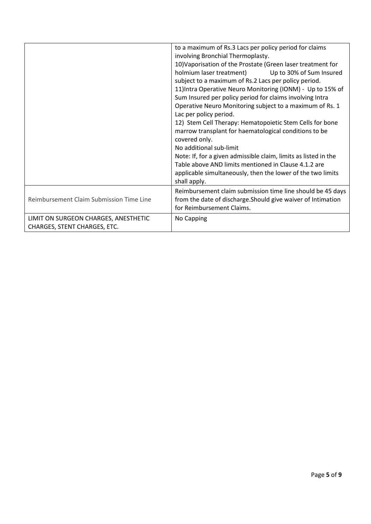|                                                                      | to a maximum of Rs.3 Lacs per policy period for claims<br>involving Bronchial Thermoplasty.<br>10) Vaporisation of the Prostate (Green laser treatment for<br>holmium laser treatment)<br>Up to 30% of Sum Insured<br>subject to a maximum of Rs.2 Lacs per policy period.<br>11) Intra Operative Neuro Monitoring (IONM) - Up to 15% of<br>Sum Insured per policy period for claims involving Intra<br>Operative Neuro Monitoring subject to a maximum of Rs. 1<br>Lac per policy period.<br>12) Stem Cell Therapy: Hematopoietic Stem Cells for bone<br>marrow transplant for haematological conditions to be<br>covered only.<br>No additional sub-limit<br>Note: If, for a given admissible claim, limits as listed in the<br>Table above AND limits mentioned in Clause 4.1.2 are<br>applicable simultaneously, then the lower of the two limits<br>shall apply. |
|----------------------------------------------------------------------|-----------------------------------------------------------------------------------------------------------------------------------------------------------------------------------------------------------------------------------------------------------------------------------------------------------------------------------------------------------------------------------------------------------------------------------------------------------------------------------------------------------------------------------------------------------------------------------------------------------------------------------------------------------------------------------------------------------------------------------------------------------------------------------------------------------------------------------------------------------------------|
| Reimbursement Claim Submission Time Line                             | Reimbursement claim submission time line should be 45 days<br>from the date of discharge. Should give waiver of Intimation<br>for Reimbursement Claims.                                                                                                                                                                                                                                                                                                                                                                                                                                                                                                                                                                                                                                                                                                               |
| LIMIT ON SURGEON CHARGES, ANESTHETIC<br>CHARGES, STENT CHARGES, ETC. | No Capping                                                                                                                                                                                                                                                                                                                                                                                                                                                                                                                                                                                                                                                                                                                                                                                                                                                            |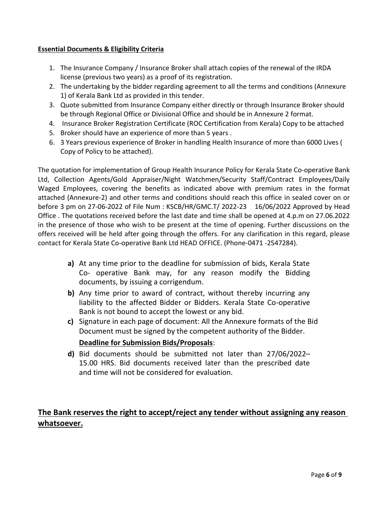## **Essential Documents & Eligibility Criteria**

- 1. The Insurance Company / Insurance Broker shall attach copies of the renewal of the IRDA license (previous two years) as a proof of its registration.
- 2. The undertaking by the bidder regarding agreement to all the terms and conditions (Annexure 1) of Kerala Bank Ltd as provided in this tender.
- 3. Quote submitted from Insurance Company either directly or through Insurance Broker should be through Regional Office or Divisional Office and should be in Annexure 2 format.
- 4. Insurance Broker Registration Certificate (ROC Certification from Kerala) Copy to be attached
- 5. Broker should have an experience of more than 5 years .
- 6. 3 Years previous experience of Broker in handling Health Insurance of more than 6000 Lives ( Copy of Policy to be attached).

The quotation for implementation of Group Health Insurance Policy for Kerala State Co-operative Bank Ltd, Collection Agents/Gold Appraiser/Night Watchmen/Security Staff/Contract Employees/Daily Waged Employees, covering the benefits as indicated above with premium rates in the format attached (Annexure-2) and other terms and conditions should reach this office in sealed cover on or before 3 pm on 27-06-2022 of File Num : KSCB/HR/GMC.T/ 2022-23 16/06/2022 Approved by Head Office . The quotations received before the last date and time shall be opened at 4.p.m on 27.06.2022 in the presence of those who wish to be present at the time of opening. Further discussions on the offers received will be held after going through the offers. For any clarification in this regard, please contact for Kerala State Co-operative Bank Ltd HEAD OFFICE. (Phone-0471 -2547284).

- **a)** At any time prior to the deadline for submission of bids, Kerala State Co- operative Bank may, for any reason modify the Bidding documents, by issuing a corrigendum.
- **b)** Any time prior to award of contract, without thereby incurring any liability to the affected Bidder or Bidders. Kerala State Co-operative Bank is not bound to accept the lowest or any bid.
- **c)** Signature in each page of document: All the Annexure formats of the Bid Document must be signed by the competent authority of the Bidder. **Deadline for Submission Bids/Proposals**:
- **d)** Bid documents should be submitted not later than 27/06/2022– 15.00 HRS. Bid documents received later than the prescribed date and time will not be considered for evaluation.

# **The Bank reserves the right to accept/reject any tender without assigning any reason whatsoever.**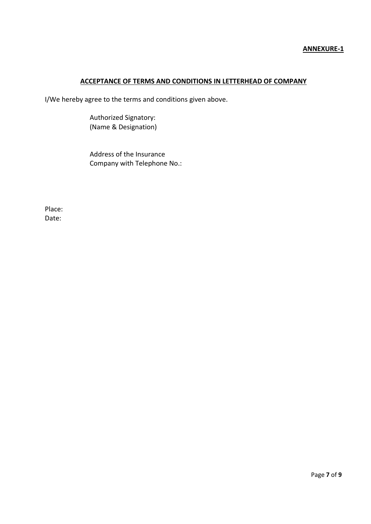## **ACCEPTANCE OF TERMS AND CONDITIONS IN LETTERHEAD OF COMPANY**

I/We hereby agree to the terms and conditions given above.

Authorized Signatory: (Name & Designation)

Address of the Insurance Company with Telephone No.:

Place: Date: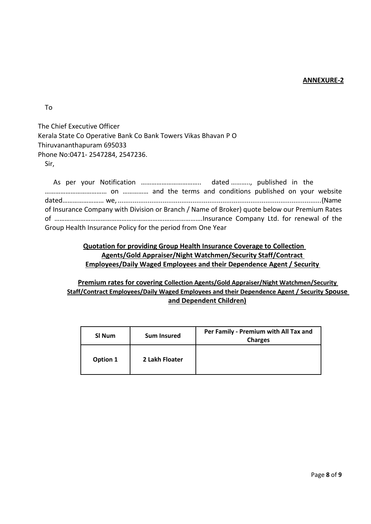### **ANNEXURE-2**

To

The Chief Executive Officer Kerala State Co Operative Bank Co Bank Towers Vikas Bhavan P O Thiruvananthapuram 695033 Phone No:0471- 2547284, 2547236. Sir,

As per your Notification …………………………….. dated ……….., published in the ……………………………… on …………… and the terms and conditions published on your website dated…………………… we, .............................................................................................................(Name of Insurance Company with Division or Branch / Name of Broker) quote below our Premium Rates of ……………………………………………………….………………….Insurance Company Ltd. for renewal of the Group Health Insurance Policy for the period from One Year

# **Quotation for providing Group Health Insurance Coverage to Collection Agents/Gold Appraiser/Night Watchmen/Security Staff/Contract Employees/Daily Waged Employees and their Dependence Agent / Security**

**Premium rates for covering Collection Agents/Gold Appraiser/Night Watchmen/Security Staff/Contract Employees/Daily Waged Employees and their Dependence Agent / Security Spouse and Dependent Children)**

| SI Num   | <b>Sum Insured</b> | Per Family - Premium with All Tax and<br><b>Charges</b> |
|----------|--------------------|---------------------------------------------------------|
| Option 1 | 2 Lakh Floater     |                                                         |